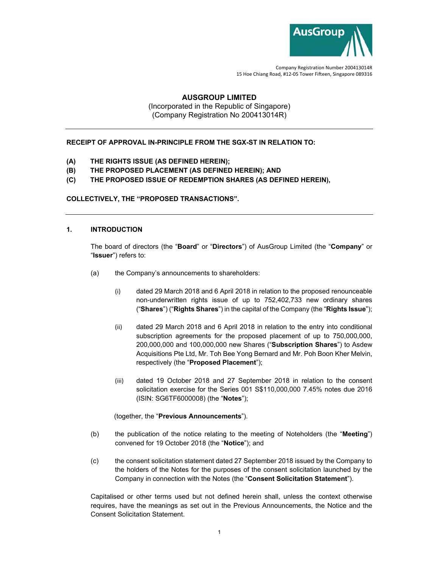

Company Registration Number 200413014R 15 Hoe Chiang Road, #12‐05 Tower Fifteen, Singapore 089316

# **AUSGROUP LIMITED**  (Incorporated in the Republic of Singapore)

(Company Registration No 200413014R)

## **RECEIPT OF APPROVAL IN-PRINCIPLE FROM THE SGX-ST IN RELATION TO:**

- **(A) THE RIGHTS ISSUE (AS DEFINED HEREIN);**
- **(B) THE PROPOSED PLACEMENT (AS DEFINED HEREIN); AND**
- **(C) THE PROPOSED ISSUE OF REDEMPTION SHARES (AS DEFINED HEREIN),**

#### **COLLECTIVELY, THE "PROPOSED TRANSACTIONS".**

#### **1. INTRODUCTION**

The board of directors (the "**Board**" or "**Directors**") of AusGroup Limited (the "**Company**" or "**Issuer**") refers to:

- (a) the Company's announcements to shareholders:
	- (i) dated 29 March 2018 and 6 April 2018 in relation to the proposed renounceable non-underwritten rights issue of up to 752,402,733 new ordinary shares ("**Shares**") ("**Rights Shares**") in the capital of the Company (the "**Rights Issue**");
	- (ii) dated 29 March 2018 and 6 April 2018 in relation to the entry into conditional subscription agreements for the proposed placement of up to 750,000,000, 200,000,000 and 100,000,000 new Shares ("**Subscription Shares**") to Asdew Acquisitions Pte Ltd, Mr. Toh Bee Yong Bernard and Mr. Poh Boon Kher Melvin, respectively (the "**Proposed Placement**");
	- (iii) dated 19 October 2018 and 27 September 2018 in relation to the consent solicitation exercise for the Series 001 S\$110,000,000 7.45% notes due 2016 (ISIN: SG6TF6000008) (the "**Notes**");

#### (together, the "**Previous Announcements**").

- (b) the publication of the notice relating to the meeting of Noteholders (the "**Meeting**") convened for 19 October 2018 (the "**Notice**"); and
- (c) the consent solicitation statement dated 27 September 2018 issued by the Company to the holders of the Notes for the purposes of the consent solicitation launched by the Company in connection with the Notes (the "**Consent Solicitation Statement**").

Capitalised or other terms used but not defined herein shall, unless the context otherwise requires, have the meanings as set out in the Previous Announcements, the Notice and the Consent Solicitation Statement.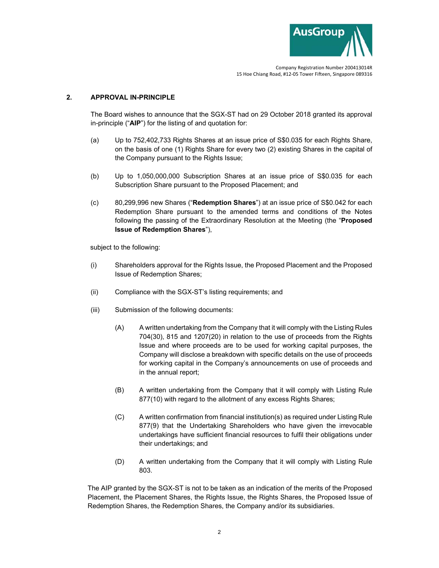

## **2. APPROVAL IN-PRINCIPLE**

The Board wishes to announce that the SGX-ST had on 29 October 2018 granted its approval in-principle ("**AIP**") for the listing of and quotation for:

- (a) Up to 752,402,733 Rights Shares at an issue price of S\$0.035 for each Rights Share, on the basis of one (1) Rights Share for every two (2) existing Shares in the capital of the Company pursuant to the Rights Issue;
- (b) Up to 1,050,000,000 Subscription Shares at an issue price of S\$0.035 for each Subscription Share pursuant to the Proposed Placement; and
- (c) 80,299,996 new Shares ("**Redemption Shares**") at an issue price of S\$0.042 for each Redemption Share pursuant to the amended terms and conditions of the Notes following the passing of the Extraordinary Resolution at the Meeting (the "**Proposed Issue of Redemption Shares**"),

subject to the following:

- (i) Shareholders approval for the Rights Issue, the Proposed Placement and the Proposed Issue of Redemption Shares;
- (ii) Compliance with the SGX-ST's listing requirements; and
- (iii) Submission of the following documents:
	- (A) A written undertaking from the Company that it will comply with the Listing Rules 704(30), 815 and 1207(20) in relation to the use of proceeds from the Rights Issue and where proceeds are to be used for working capital purposes, the Company will disclose a breakdown with specific details on the use of proceeds for working capital in the Company's announcements on use of proceeds and in the annual report;
	- (B) A written undertaking from the Company that it will comply with Listing Rule 877(10) with regard to the allotment of any excess Rights Shares;
	- (C) A written confirmation from financial institution(s) as required under Listing Rule 877(9) that the Undertaking Shareholders who have given the irrevocable undertakings have sufficient financial resources to fulfil their obligations under their undertakings; and
	- (D) A written undertaking from the Company that it will comply with Listing Rule 803.

The AIP granted by the SGX-ST is not to be taken as an indication of the merits of the Proposed Placement, the Placement Shares, the Rights Issue, the Rights Shares, the Proposed Issue of Redemption Shares, the Redemption Shares, the Company and/or its subsidiaries.